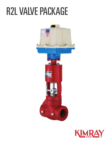# **R2L VALVE PACKAGE**



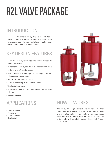# R2L VALVE PACKAGE

### INTRODUCTION

The R2L Adapter enables Kimray HPCV to be controlled by quarter-turn electric actuators, commonly used in the industry. This solution is a durable, simple and effective way to maintain control within an automated production site.

#### KEY DESIGN FEATURES

- Allows the use of any (common) quarter-turn electric actuator with the Kimray HPCV
- Utilizes common Kimray actuator hardware and installs easily
- Designed to retrofit existing valves
- Over-travel loading ensures tight closure throughout the life of the valve as the seat wears
- Low backlash ensures tight control
- Sealed roller bearings provide smooth operation
- Weather-tight assembly
- Highly efficient transfer of energy higher than lead screw or ball screw
- Maintenance-free

## APPLICATIONS

- Pressure Control
- Dump Valve
- Safety Shut Down
- Flow Control



#### HOW IT WORKS

The Kimray R2L Adapter translates rotary motion into linear motion. As an extra feature, this product is designed with a series of springs with a live loaded stem in order to compensate for seat wear. The Kimray R2L Adapter allows any ISO-5211 rotary actuator to be coupled with an industry standard Kimray High Pressure Control Valve.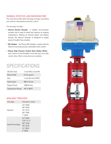#### DURABLE, EFFECTIVE, AND EMISSIONS FREE

The new Kimray R2L Valve Package provides everything you need for automated production control.

The package includes:

- **Valvcon Electric Actuator** a reliable, zero-emission actuator that is easy to install and requires no ongoing maintenance. Utilizing an internal heater and battery backup, the Valvcon Actuator is designed to supply years of trouble free actuation.
- **R2L Adapter** the Kimray R2L Adapter couples with the Valvcon to provide precise, automated valve control.
- **Kimray High Pressure Control Valve Bottom Works** your choice of any threaded 2 inch ball and cone style control valve. Other connections are available.

#### SPECIFICATIONS

| ISO-5211 Size            | 1-inch F05, 2-inch F07       |
|--------------------------|------------------------------|
| <b>Rotary Shaft</b>      | 14 mm square                 |
| Size                     | 1-inch & 2-inch HPCV         |
| Input torque             | 600 in-lb max                |
| <b>Output Thrust</b>     | 1200 lbf max                 |
| <b>Temperature Range</b> | $-40^\circ$ to $450^\circ$ F |

#### AVAILABLE TRIM SIZES

| <b>Trim Type</b> | Trim Size in. (mm)                                                                                        |
|------------------|-----------------------------------------------------------------------------------------------------------|
| Nominal          | $1/4$ " (6.35)<br>$3/8$ " (9.52)<br>$1/2$ " (12.7)<br>$3/4$ " (19.0)<br>$1''$ (25.4)                      |
| Equal Percentage | $1/4$ " (6.35)<br>$7/16$ " $(11.1)$<br>$5/8$ " (15.8)<br>$7/8$ " (22.2)<br>$1.5$ " (38.1)<br>$2''$ (50.8) |